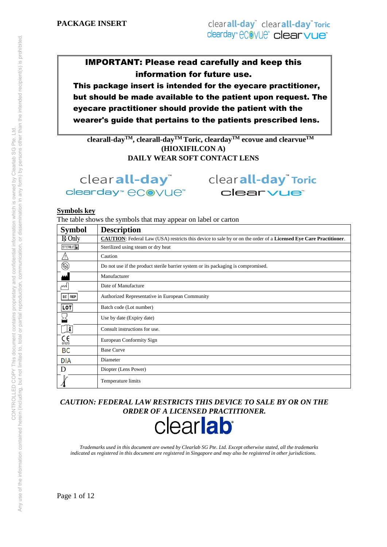# IMPORTANT: Please read carefully and keep this information for future use.

This package insert is intended for the eyecare practitioner, but should be made available to the patient upon request. The eyecare practitioner should provide the patient with the wearer's guide that pertains to the patients prescribed lens.

 $\frac{1}{2}$ **Clearall-day<sup>TM</sup><b>,** clearall-day<sup>TM</sup>**Toric, clearday**<sup>TM</sup> **ecovue and clearvue**<sup>TM</sup> **(HIOXIFILCON A) DAILY WEAR SOFT CONTACT LENS** 

clearday<sup>™</sup> eCOVUe™

clearall-day<sup>"</sup> clearall-day<sup>"</sup> Toric clearvue<sup>®</sup>

#### **Symbols key**

The table shows the symbols that may appear on label or carton

| <b>Symbol</b>                   | <b>Description</b>                                                                                                      |  |  |
|---------------------------------|-------------------------------------------------------------------------------------------------------------------------|--|--|
| R Only                          | <b>CAUTION:</b> Federal Law (USA) restricts this device to sale by or on the order of a Licensed Eye Care Practitioner. |  |  |
| STERILE <sup>D</sup>            | Sterilized using steam or dry heat                                                                                      |  |  |
| Л                               | Caution                                                                                                                 |  |  |
| $\circledR$                     | Do not use if the product sterile barrier system or its packaging is compromised.                                       |  |  |
|                                 | Manufacturer                                                                                                            |  |  |
| ∼∿                              | Date of Manufacture                                                                                                     |  |  |
| $EC$ REP                        | Authorized Representative in European Community                                                                         |  |  |
| LOT                             | Batch code (Lot number)                                                                                                 |  |  |
|                                 | Use by date (Expiry date)                                                                                               |  |  |
| lī                              | Consult instructions for use.                                                                                           |  |  |
| $\mathcal{C}_{\mathfrak{0123}}$ | European Conformity Sign                                                                                                |  |  |
| BC                              | <b>Base Curve</b>                                                                                                       |  |  |
| <b>DIA</b>                      | Diameter                                                                                                                |  |  |
| D                               | Diopter (Lens Power)                                                                                                    |  |  |
|                                 | Temperature limits                                                                                                      |  |  |

*CAUTION: FEDERAL LAW RESTRICTS THIS DEVICE TO SALE BY OR ON THE ORDER OF A LICENSED PRACTITIONER.*



*Trademarks used in this document are owned by Clearlab SG Pte. Ltd. Except otherwise stated, all the trademarks indicated as registered in this document are registered in Singapore and may also be registered in other jurisdictions.*

Page 1 of 12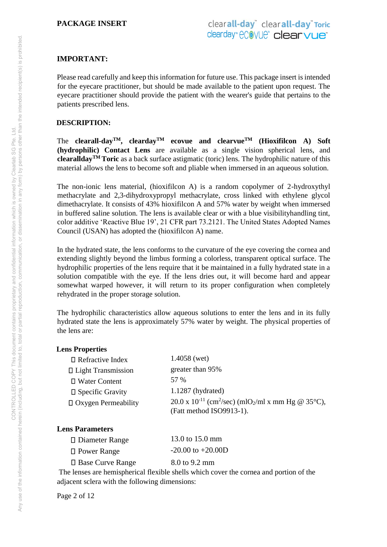# **IMPORTANT:**

Please read carefully and keep this information for future use. This package insert is intended for the eyecare practitioner, but should be made available to the patient upon request. The eyecare practitioner should provide the patient with the wearer's guide that pertains to the patients prescribed lens.

# **DESCRIPTION:**

The **clearall-day<sup>TM</sup>, <b>clearday**<sup>TM</sup> **ecovue and <b>clearvue**<sup>TM</sup> (Hioxifilcon A) Soft **(hydrophilic) Contact Lens** are available as a single vision spherical lens, and **clearalldayTM Toric** as a back surface astigmatic (toric) lens. The hydrophilic nature of this material allows the lens to become soft and pliable when immersed in an aqueous solution.

The non-ionic lens material, (hioxifilcon A) is a random copolymer of 2-hydroxythyl methacrylate and 2,3-dihydroxypropyl methacrylate, cross linked with ethylene glycol dimethacrylate. It consists of 43% hioxifilcon A and 57% water by weight when immersed in buffered saline solution. The lens is available clear or with a blue visibilityhandling tint, color additive 'Reactive Blue 19', 21 CFR part 73.2121. The United States Adopted Names Council (USAN) has adopted the (hioxifilcon A) name.

In the hydrated state, the lens conforms to the curvature of the eye covering the cornea and extending slightly beyond the limbus forming a colorless, transparent optical surface. The hydrophilic properties of the lens require that it be maintained in a fully hydrated state in a solution compatible with the eye. If the lens dries out, it will become hard and appear somewhat warped however, it will return to its proper configuration when completely rehydrated in the proper storage solution.

The hydrophilic characteristics allow aqueous solutions to enter the lens and in its fully hydrated state the lens is approximately 57% water by weight. The physical properties of the lens are:

# **Lens Properties**

| $\Box$ Refractive Index    | $1.4058$ (wet)                                                                                      |
|----------------------------|-----------------------------------------------------------------------------------------------------|
| □ Light Transmission       | greater than 95%                                                                                    |
| □ Water Content            | 57 %                                                                                                |
| $\square$ Specific Gravity | $1.1287$ (hydrated)                                                                                 |
| $\Box$ Oxygen Permeability | 20.0 x 10 <sup>-11</sup> (cm <sup>2</sup> /sec) (mlO <sub>2</sub> /ml x mm Hg @ 35 <sup>o</sup> C), |
|                            | (Fatt method ISO9913-1).                                                                            |

# **Lens Parameters**

| $\Box$ Diameter Range   | 13.0 to 15.0 mm       |
|-------------------------|-----------------------|
| □ Power Range           | $-20.00$ to $+20.00D$ |
| $\Box$ Base Curve Range | 8.0 to 9.2 mm         |

The lenses are hemispherical flexible shells which cover the cornea and portion of the adjacent sclera with the following dimensions:

Page 2 of 12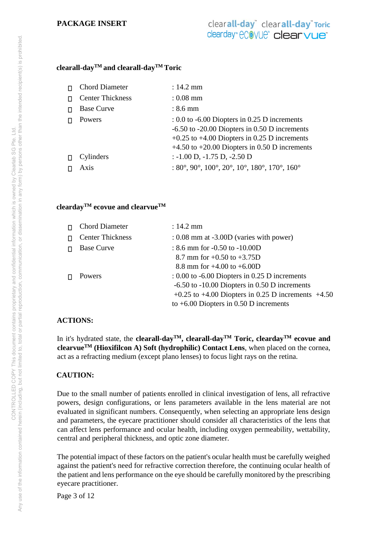### **clearall-dayTM and clearall-dayTM Toric**

| П      | <b>Chord Diameter</b>   | $: 14.2 \text{ mm}$                                                                                                                                                                                            |
|--------|-------------------------|----------------------------------------------------------------------------------------------------------------------------------------------------------------------------------------------------------------|
| п      | <b>Center Thickness</b> | $: 0.08$ mm                                                                                                                                                                                                    |
|        | <b>Base Curve</b>       | $: 8.6$ mm                                                                                                                                                                                                     |
|        | Powers                  | $\pm 0.0$ to -6.00 Diopters in 0.25 D increments<br>$-6.50$ to $-20.00$ Diopters in 0.50 D increments<br>$+0.25$ to $+4.00$ Diopters in 0.25 D increments<br>$+4.50$ to $+20.00$ Diopters in 0.50 D increments |
| $\Box$ | Cylinders               | $: -1.00$ D, $-1.75$ D, $-2.50$ D                                                                                                                                                                              |
|        | Axis                    | : $80^\circ$ , $90^\circ$ , $100^\circ$ , $20^\circ$ , $10^\circ$ , $180^\circ$ , $170^\circ$ , $160^\circ$                                                                                                    |

### **cleardayTM ecovue and clearvueTM**

| <b>Chord Diameter</b>   | $: 14.2 \text{ mm}$                                      |
|-------------------------|----------------------------------------------------------|
| <b>Center Thickness</b> | $: 0.08$ mm at $-3.00D$ (varies with power)              |
| <b>Base Curve</b>       | : $8.6$ mm for $-0.50$ to $-10.00D$                      |
|                         | 8.7 mm for $+0.50$ to $+3.75D$                           |
|                         | 8.8 mm for $+4.00$ to $+6.00D$                           |
| <b>Powers</b>           | $\pm 0.00$ to -6.00 Diopters in 0.25 D increments        |
|                         | $-6.50$ to $-10.00$ Diopters in 0.50 D increments        |
|                         | $+0.25$ to $+4.00$ Diopters in 0.25 D increments $+4.50$ |
|                         | to $+6.00$ Diopters in 0.50 D increments                 |

# **ACTIONS:**

In it's hydrated state, the **clearall-dayTM, clearall-dayTM Toric, cleardayTM ecovue and clearvueTM (Hioxifilcon A) Soft (hydrophilic) Contact Lens**, when placed on the cornea, act as a refracting medium (except plano lenses) to focus light rays on the retina.

# **CAUTION:**

Due to the small number of patients enrolled in clinical investigation of lens, all refractive powers, design configurations, or lens parameters available in the lens material are not evaluated in significant numbers. Consequently, when selecting an appropriate lens design and parameters, the eyecare practitioner should consider all characteristics of the lens that can affect lens performance and ocular health, including oxygen permeability, wettability, central and peripheral thickness, and optic zone diameter.

The potential impact of these factors on the patient's ocular health must be carefully weighed against the patient's need for refractive correction therefore, the continuing ocular health of the patient and lens performance on the eye should be carefully monitored by the prescribing eyecare practitioner.

Page 3 of 12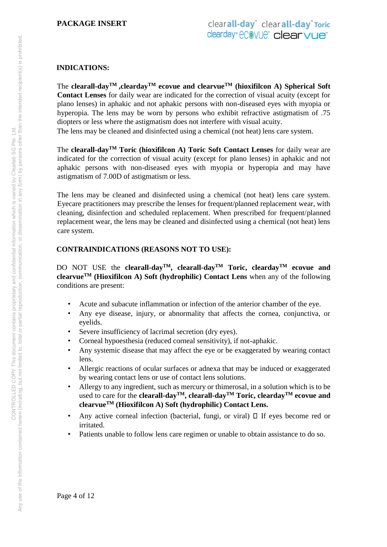# **INDICATIONS:**

The **clearall-dayTM ,cleardayTM ecovue and clearvueTM (hioxifilcon A) Spherical Soft Contact Lenses** for daily wear are indicated for the correction of visual acuity (except for plano lenses) in aphakic and not aphakic persons with non-diseased eyes with myopia or hyperopia. The lens may be worn by persons who exhibit refractive astigmatism of .75 diopters or less where the astigmatism does not interfere with visual acuity. The lens may be cleaned and disinfected using a chemical (not heat) lens care system.

The **clearall-dayTM Toric (hioxifilcon A) Toric Soft Contact Lenses** for daily wear are indicated for the correction of visual acuity (except for plano lenses) in aphakic and not aphakic persons with non-diseased eyes with myopia or hyperopia and may have astigmatism of 7.00D of astigmatism or less.

The lens may be cleaned and disinfected using a chemical (not heat) lens care system. Eyecare practitioners may prescribe the lenses for frequent/planned replacement wear, with cleaning, disinfection and scheduled replacement. When prescribed for frequent/planned replacement wear, the lens may be cleaned and disinfected using a chemical (not heat) lens care system.

# **CONTRAINDICATIONS (REASONS NOT TO USE):**

DO NOT USE the **clearall-dayTM, clearall-dayTM Toric, cleardayTM ecovue and clearvueTM (Hioxifilcon A) Soft (hydrophilic) Contact Lens** when any of the following conditions are present:

- Acute and subacute inflammation or infection of the anterior chamber of the eye.
- Any eye disease, injury, or abnormality that affects the cornea, conjunctiva, or eyelids.
- Severe insufficiency of lacrimal secretion (dry eyes).
- Corneal hypoesthesia (reduced corneal sensitivity), if not-aphakic.
- Any systemic disease that may affect the eye or be exaggerated by wearing contact lens.
- Allergic reactions of ocular surfaces or adnexa that may be induced or exaggerated by wearing contact lens or use of contact lens solutions.
- Allergy to any ingredient, such as mercury or thimerosal, in a solution which is to be used to care for the **clearall-dayTM, clearall-dayTM Toric, cleardayTM ecovue and clearvueTM (Hioxifilcon A) Soft (hydrophilic) Contact Lens.**
- Any active corneal infection (bacterial, fungi, or viral)  $\Box$  If eyes become red or irritated.
- Patients unable to follow lens care regimen or unable to obtain assistance to do so.

Page 4 of 12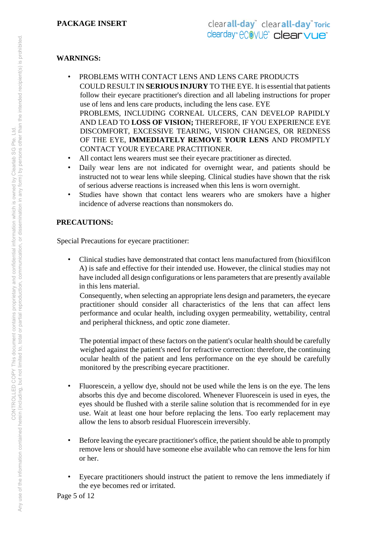# **WARNINGS:**

- PROBLEMS WITH CONTACT LENS AND LENS CARE PRODUCTS COULD RESULT IN **SERIOUS INJURY** TO THE EYE. It is essential that patients follow their eyecare practitioner's direction and all labeling instructions for proper use of lens and lens care products, including the lens case. EYE PROBLEMS, INCLUDING CORNEAL ULCERS, CAN DEVELOP RAPIDLY AND LEAD TO **LOSS OF VISION;** THEREFORE, IF YOU EXPERIENCE EYE DISCOMFORT, EXCESSIVE TEARING, VISION CHANGES, OR REDNESS OF THE EYE, **IMMEDIATELY REMOVE YOUR LENS** AND PROMPTLY CONTACT YOUR EYECARE PRACTITIONER.
- All contact lens wearers must see their eyecare practitioner as directed.
- Daily wear lens are not indicated for overnight wear, and patients should be instructed not to wear lens while sleeping. Clinical studies have shown that the risk of serious adverse reactions is increased when this lens is worn overnight.
- Studies have shown that contact lens wearers who are smokers have a higher incidence of adverse reactions than nonsmokers do.

# **PRECAUTIONS:**

Special Precautions for eyecare practitioner:

• Clinical studies have demonstrated that contact lens manufactured from (hioxifilcon A) is safe and effective for their intended use. However, the clinical studies may not have included all design configurations or lens parameters that are presently available in this lens material.

Consequently, when selecting an appropriate lens design and parameters, the eyecare practitioner should consider all characteristics of the lens that can affect lens performance and ocular health, including oxygen permeability, wettability, central and peripheral thickness, and optic zone diameter.

The potential impact of these factors on the patient's ocular health should be carefully weighed against the patient's need for refractive correction: therefore, the continuing ocular health of the patient and lens performance on the eye should be carefully monitored by the prescribing eyecare practitioner.

- Fluorescein, a yellow dye, should not be used while the lens is on the eye. The lens absorbs this dye and become discolored. Whenever Fluorescein is used in eyes, the eyes should be flushed with a sterile saline solution that is recommended for in eye use. Wait at least one hour before replacing the lens. Too early replacement may allow the lens to absorb residual Fluorescein irreversibly.
- Before leaving the eyecare practitioner's office, the patient should be able to promptly remove lens or should have someone else available who can remove the lens for him or her.
- Eyecare practitioners should instruct the patient to remove the lens immediately if the eye becomes red or irritated.

Page 5 of 12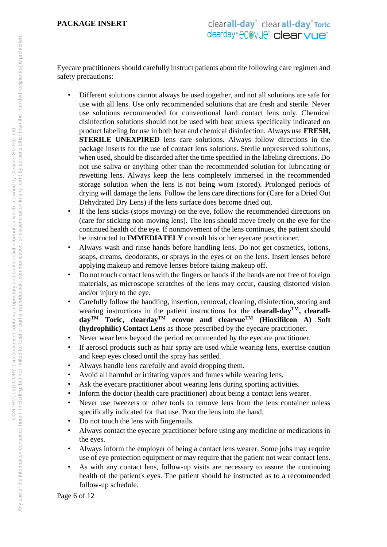Eyecare practitioners should carefully instruct patients about the following care regimen and safety precautions:

- Different solutions cannot always be used together, and not all solutions are safe for use with all lens. Use only recommended solutions that are fresh and sterile. Never use solutions recommended for conventional hard contact lens only. Chemical disinfection solutions should not be used with heat unless specifically indicated on product labeling for use in both heat and chemical disinfection. Always use **FRESH, STERILE UNEXPIRED** lens care solutions. Always follow directions in the package inserts for the use of contact lens solutions. Sterile unpreserved solutions, when used, should be discarded after the time specified in the labeling directions. Do not use saliva or anything other than the recommended solution for lubricating or rewetting lens. Always keep the lens completely immersed in the recommended storage solution when the lens is not being worn (stored). Prolonged periods of drying will damage the lens. Follow the lens care directions for (Care for a Dried Out Dehydrated Dry Lens) if the lens surface does become dried out.
- If the lens sticks (stops moving) on the eye, follow the recommended directions on (care for sticking non-moving lens). The lens should move freely on the eye for the continued health of the eye. If nonmovement of the lens continues, the patient should be instructed to **IMMEDIATELY** consult his or her eyecare practitioner.
- Always wash and rinse hands before handling lens. Do not get cosmetics, lotions, soaps, creams, deodorants, or sprays in the eyes or on the lens. Insert lenses before applying makeup and remove lenses before taking makeup off.
- Do not touch contact lens with the fingers or hands if the hands are not free of foreign materials, as microscope scratches of the lens may occur, causing distorted vision and/or injury to the eye.
- Carefully follow the handling, insertion, removal, cleaning, disinfection, storing and wearing instructions in the patient instructions for the **clearall-dayTM, clearalldayTM Toric, cleardayTM ecovue and clearvueTM (Hioxifilcon A) Soft (hydrophilic) Contact Lens** as those prescribed by the eyecare practitioner.
- Never wear lens beyond the period recommended by the eyecare practitioner.
- If aerosol products such as hair spray are used while wearing lens, exercise caution and keep eyes closed until the spray has settled.
- Always handle lens carefully and avoid dropping them.
- Avoid all harmful or irritating vapors and fumes while wearing lens.
- Ask the eyecare practitioner about wearing lens during sporting activities.
- Inform the doctor (health care practitioner) about being a contact lens wearer.
- Never use tweezers or other tools to remove lens from the lens container unless specifically indicated for that use. Pour the lens into the hand.
- Do not touch the lens with fingernails.
- Always contact the eyecare practitioner before using any medicine or medications in the eyes.
- Always inform the employer of being a contact lens wearer. Some jobs may require use of eye protection equipment or may require that the patient not wear contact lens.
- As with any contact lens, follow-up visits are necessary to assure the continuing health of the patient's eyes. The patient should be instructed as to a recommended follow-up schedule.

Page 6 of 12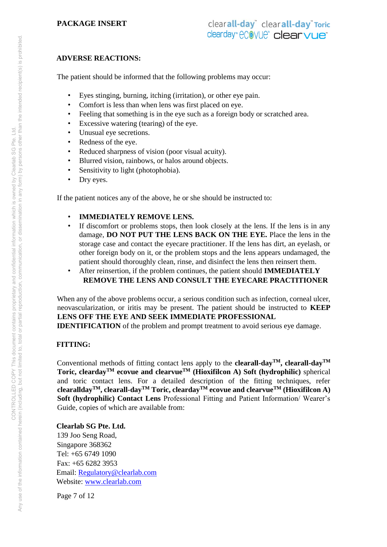# **ADVERSE REACTIONS:**

The patient should be informed that the following problems may occur:

- Eyes stinging, burning, itching (irritation), or other eye pain.
- Comfort is less than when lens was first placed on eye.
- Feeling that something is in the eye such as a foreign body or scratched area.
- Excessive watering (tearing) of the eye.
- Unusual eye secretions.
- Redness of the eye.
- Reduced sharpness of vision (poor visual acuity).
- Blurred vision, rainbows, or halos around objects.
- Sensitivity to light (photophobia).
- Dry eyes.

If the patient notices any of the above, he or she should be instructed to:

- **IMMEDIATELY REMOVE LENS.**
- If discomfort or problems stops, then look closely at the lens. If the lens is in any damage, **DO NOT PUT THE LENS BACK ON THE EYE.** Place the lens in the storage case and contact the eyecare practitioner. If the lens has dirt, an eyelash, or other foreign body on it, or the problem stops and the lens appears undamaged, the patient should thoroughly clean, rinse, and disinfect the lens then reinsert them.
- After reinsertion, if the problem continues, the patient should **IMMEDIATELY REMOVE THE LENS AND CONSULT THE EYECARE PRACTITIONER**

When any of the above problems occur, a serious condition such as infection, corneal ulcer, neovascularization, or iritis may be present. The patient should be instructed to **KEEP LENS OFF THE EYE AND SEEK IMMEDIATE PROFESSIONAL** 

**IDENTIFICATION** of the problem and prompt treatment to avoid serious eye damage.

# **FITTING:**

Conventional methods of fitting contact lens apply to the **clearall-dayTM, clearall-dayTM Toric, cleardayTM ecovue and clearvueTM (Hioxifilcon A) Soft (hydrophilic)** spherical and toric contact lens. For a detailed description of the fitting techniques, refer **clearalldayTM, clearall-dayTM Toric, cleardayTM ecovue and clearvueTM (Hioxifilcon A) Soft (hydrophilic) Contact Lens** Professional Fitting and Patient Information/ Wearer's Guide, copies of which are available from:

**Clearlab SG Pte. Ltd.** 

139 Joo Seng Road, Singapore 368362 Tel: +65 6749 1090 Fax: +65 6282 3953 Email: Regulatory@clearlab.com Website: www.clearlab.com

Page 7 of 12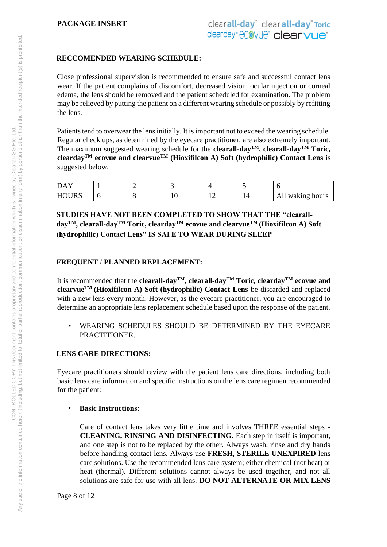# **RECCOMENDED WEARING SCHEDULE:**

Close professional supervision is recommended to ensure safe and successful contact lens wear. If the patient complains of discomfort, decreased vision, ocular injection or corneal edema, the lens should be removed and the patient scheduled for examination. The problem may be relieved by putting the patient on a different wearing schedule or possibly by refitting the lens.

Patients tend to overwear the lens initially. It is important not to exceed the wearing schedule. Regular check ups, as determined by the eyecare practitioner, are also extremely important. The maximum suggested wearing schedule for the **clearall-day**<sup>TM</sup>, **clearall-day**<sup>TM</sup> Toric, **cleardayTM ecovue and clearvueTM (Hioxifilcon A) Soft (hydrophilic) Contact Lens** is suggested below.

| $\mathbf{A}$        |  | . . |                                    |          |                     |
|---------------------|--|-----|------------------------------------|----------|---------------------|
| <b>DURS</b><br>. Hu |  | ιv  | $\sim$<br>$\overline{\phantom{0}}$ | ∼<br>- 1 | waking hours<br>All |

**STUDIES HAVE NOT BEEN COMPLETED TO SHOW THAT THE "clearalldayTM, clearall-dayTM Toric, cleardayTM ecovue and clearvueTM (Hioxifilcon A) Soft (hydrophilic) Contact Lens" IS SAFE TO WEAR DURING SLEEP** 

# **FREQUENT** / **PLANNED REPLACEMENT:**

It is recommended that the **clearall-dayTM, clearall-dayTM Toric, cleardayTM ecovue and clearvueTM (Hioxifilcon A) Soft (hydrophilic) Contact Lens** be discarded and replaced with a new lens every month. However, as the eyecare practitioner, you are encouraged to determine an appropriate lens replacement schedule based upon the response of the patient.

• WEARING SCHEDULES SHOULD BE DETERMINED BY THE EYECARE PRACTITIONER.

# **LENS CARE DIRECTIONS:**

Eyecare practitioners should review with the patient lens care directions, including both basic lens care information and specific instructions on the lens care regimen recommended for the patient:

#### • **Basic Instructions:**

Care of contact lens takes very little time and involves THREE essential steps - **CLEANING, RINSING AND DISINFECTING.** Each step in itself is important, and one step is not to be replaced by the other. Always wash, rinse and dry hands before handling contact lens. Always use **FRESH, STERILE UNEXPIRED** lens care solutions. Use the recommended lens care system; either chemical (not heat) or heat (thermal). Different solutions cannot always be used together, and not all solutions are safe for use with all lens. **DO NOT ALTERNATE OR MIX LENS**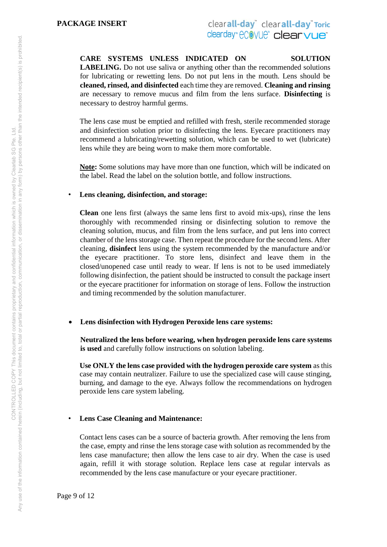**CARE SYSTEMS UNLESS INDICATED ON SOLUTION LABELING.** Do not use saliva or anything other than the recommended solutions for lubricating or rewetting lens. Do not put lens in the mouth. Lens should be **cleaned, rinsed, and disinfected** each time they are removed. **Cleaning and rinsing**  are necessary to remove mucus and film from the lens surface. **Disinfecting** is necessary to destroy harmful germs.

The lens case must be emptied and refilled with fresh, sterile recommended storage and disinfection solution prior to disinfecting the lens. Eyecare practitioners may recommend a lubricating/rewetting solution, which can be used to wet (lubricate) lens while they are being worn to make them more comfortable.

**Note:** Some solutions may have more than one function, which will be indicated on the label. Read the label on the solution bottle, and follow instructions.

#### • **Lens cleaning, disinfection, and storage:**

**Clean** one lens first (always the same lens first to avoid mix-ups), rinse the lens thoroughly with recommended rinsing or disinfecting solution to remove the cleaning solution, mucus, and film from the lens surface, and put lens into correct chamber of the lens storage case. Then repeat the procedure for the second lens. After cleaning, **disinfect** lens using the system recommended by the manufacture and/or the eyecare practitioner. To store lens, disinfect and leave them in the closed/unopened case until ready to wear. If lens is not to be used immediately following disinfection, the patient should be instructed to consult the package insert or the eyecare practitioner for information on storage of lens. Follow the instruction and timing recommended by the solution manufacturer.

#### **Lens disinfection with Hydrogen Peroxide lens care systems:**

**Neutralized the lens before wearing, when hydrogen peroxide lens care systems is used** and carefully follow instructions on solution labeling.

**Use ONLY the lens case provided with the hydrogen peroxide care system** as this case may contain neutralizer. Failure to use the specialized case will cause stinging, burning, and damage to the eye. Always follow the recommendations on hydrogen peroxide lens care system labeling.

#### • **Lens Case Cleaning and Maintenance:**

Contact lens cases can be a source of bacteria growth. After removing the lens from the case, empty and rinse the lens storage case with solution as recommended by the lens case manufacture; then allow the lens case to air dry. When the case is used again, refill it with storage solution. Replace lens case at regular intervals as recommended by the lens case manufacture or your eyecare practitioner.

Page 9 of 12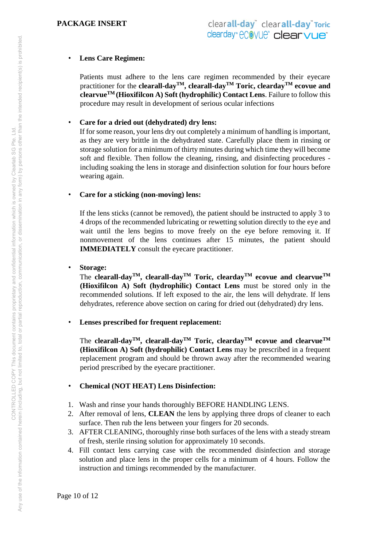# • **Lens Care Regimen:**

Patients must adhere to the lens care regimen recommended by their eyecare practitioner for the **clearall-dayTM, clearall-dayTM Toric, cleardayTM ecovue and clearvueTM (Hioxifilcon A) Soft (hydrophilic) Contact Lens**. Failure to follow this procedure may result in development of serious ocular infections

### • **Care for a dried out (dehydrated) dry lens:**

If for some reason, your lens dry out completely a minimum of handling is important, as they are very brittle in the dehydrated state. Carefully place them in rinsing or storage solution for a minimum of thirty minutes during which time they will become soft and flexible. Then follow the cleaning, rinsing, and disinfecting procedures including soaking the lens in storage and disinfection solution for four hours before wearing again.

### • **Care for a sticking (non-moving) lens:**

If the lens sticks (cannot be removed), the patient should be instructed to apply 3 to 4 drops of the recommended lubricating or rewetting solution directly to the eye and wait until the lens begins to move freely on the eye before removing it. If nonmovement of the lens continues after 15 minutes, the patient should **IMMEDIATELY** consult the eyecare practitioner.

#### • **Storage:**

The **clearall-dayTM, clearall-dayTM Toric, cleardayTM ecovue and clearvueTM (Hioxifilcon A) Soft (hydrophilic) Contact Lens** must be stored only in the recommended solutions. If left exposed to the air, the lens will dehydrate. If lens dehydrates, reference above section on caring for dried out (dehydrated) dry lens.

# • **Lenses prescribed for frequent replacement:**

The **clearall-dayTM, clearall-dayTM Toric, cleardayTM ecovue and clearvueTM (Hioxifilcon A) Soft (hydrophilic) Contact Lens** may be prescribed in a frequent replacement program and should be thrown away after the recommended wearing period prescribed by the eyecare practitioner.

# • **Chemical (NOT HEAT) Lens Disinfection:**

- 1. Wash and rinse your hands thoroughly BEFORE HANDLING LENS.
- 2. After removal of lens, **CLEAN** the lens by applying three drops of cleaner to each surface. Then rub the lens between your fingers for 20 seconds.
- 3. AFTER CLEANING, thoroughly rinse both surfaces of the lens with a steady stream of fresh, sterile rinsing solution for approximately 10 seconds.
- 4. Fill contact lens carrying case with the recommended disinfection and storage solution and place lens in the proper cells for a minimum of 4 hours. Follow the instruction and timings recommended by the manufacturer.

Page 10 of 12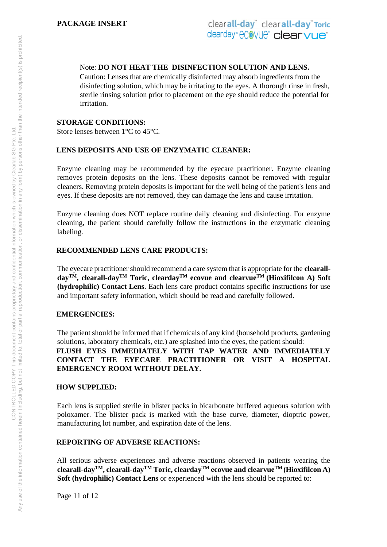### Note: **DO NOT HEAT THE DISINFECTION SOLUTION AND LENS.**

Caution: Lenses that are chemically disinfected may absorb ingredients from the disinfecting solution, which may be irritating to the eyes. A thorough rinse in fresh, sterile rinsing solution prior to placement on the eye should reduce the potential for irritation.

#### **STORAGE CONDITIONS:**

Store lenses between 1°C to 45°C.

#### **LENS DEPOSITS AND USE OF ENZYMATIC CLEANER:**

Enzyme cleaning may be recommended by the eyecare practitioner. Enzyme cleaning removes protein deposits on the lens. These deposits cannot be removed with regular cleaners. Removing protein deposits is important for the well being of the patient's lens and eyes. If these deposits are not removed, they can damage the lens and cause irritation.

Enzyme cleaning does NOT replace routine daily cleaning and disinfecting. For enzyme cleaning, the patient should carefully follow the instructions in the enzymatic cleaning labeling.

### **RECOMMENDED LENS CARE PRODUCTS:**

The eyecare practitioner should recommend a care system that is appropriate for the **clearalldayTM, clearall-dayTM Toric, cleardayTM ecovue and clearvueTM (Hioxifilcon A) Soft (hydrophilic) Contact Lens**. Each lens care product contains specific instructions for use and important safety information, which should be read and carefully followed.

#### **EMERGENCIES:**

The patient should be informed that if chemicals of any kind (household products, gardening solutions, laboratory chemicals, etc.) are splashed into the eyes, the patient should:

# **FLUSH EYES IMMEDIATELY WITH TAP WATER AND IMMEDIATELY CONTACT THE EYECARE PRACTITIONER OR VISIT A HOSPITAL EMERGENCY ROOM WITHOUT DELAY.**

#### **HOW SUPPLIED:**

Each lens is supplied sterile in blister packs in bicarbonate buffered aqueous solution with poloxamer. The blister pack is marked with the base curve, diameter, dioptric power, manufacturing lot number, and expiration date of the lens.

# **REPORTING OF ADVERSE REACTIONS:**

All serious adverse experiences and adverse reactions observed in patients wearing the **clearall-dayTM, clearall-dayTM Toric, cleardayTM ecovue and clearvueTM (Hioxifilcon A) Soft (hydrophilic) Contact Lens** or experienced with the lens should be reported to:

Page 11 of 12